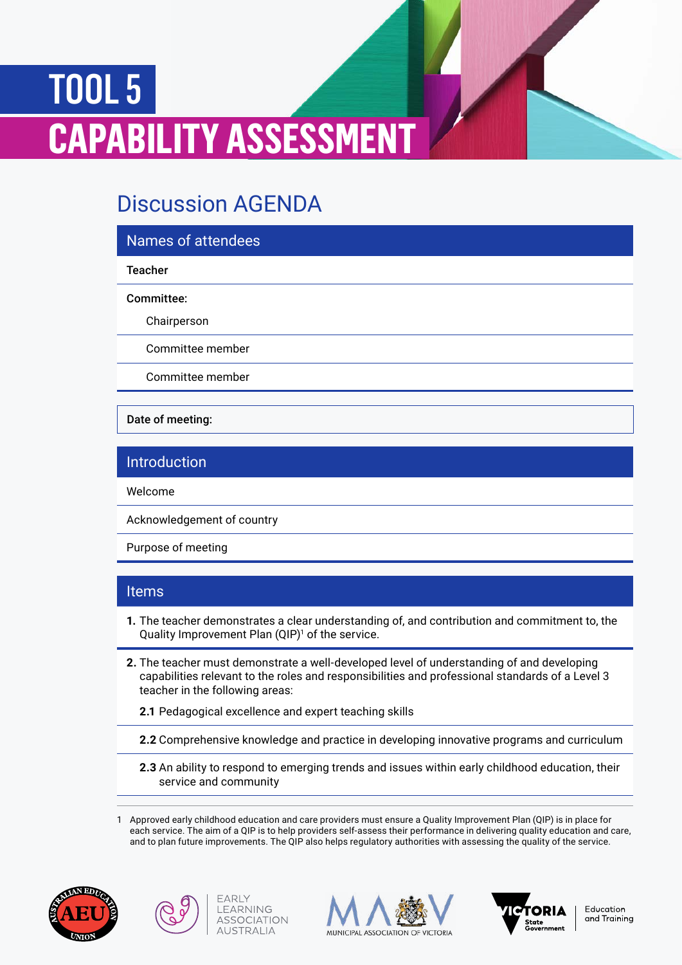# TOOL 5 **PABILITY ASSESSMENT**

# Discussion AGENDA

# Names of attendees

#### **Teacher**

#### Committee:

Chairperson

Committee member

Committee member

Date of meeting:

# Introduction

Welcome

Acknowledgement of country

Purpose of meeting

### Items

- **1.** The teacher demonstrates a clear understanding of, and contribution and commitment to, the Quality Improvement Plan (QIP)<sup>1</sup> of the service.
- **2.** The teacher must demonstrate a well-developed level of understanding of and developing capabilities relevant to the roles and responsibilities and professional standards of a Level 3 teacher in the following areas:
	- **2.1** Pedagogical excellence and expert teaching skills
	- **2.2** Comprehensive knowledge and practice in developing innovative programs and curriculum
	- **2.3** An ability to respond to emerging trends and issues within early childhood education, their service and community

1 Approved early childhood education and care providers must ensure a Quality Improvement Plan (QIP) is in place for each service. The aim of a QIP is to help providers self-assess their performance in delivering quality education and care, and to plan future improvements. The QIP also helps regulatory authorities with assessing the quality of the service.





FARIY LEARNING

**ASSOCIATION** 

**AUSTRALIA** 





Education and Training